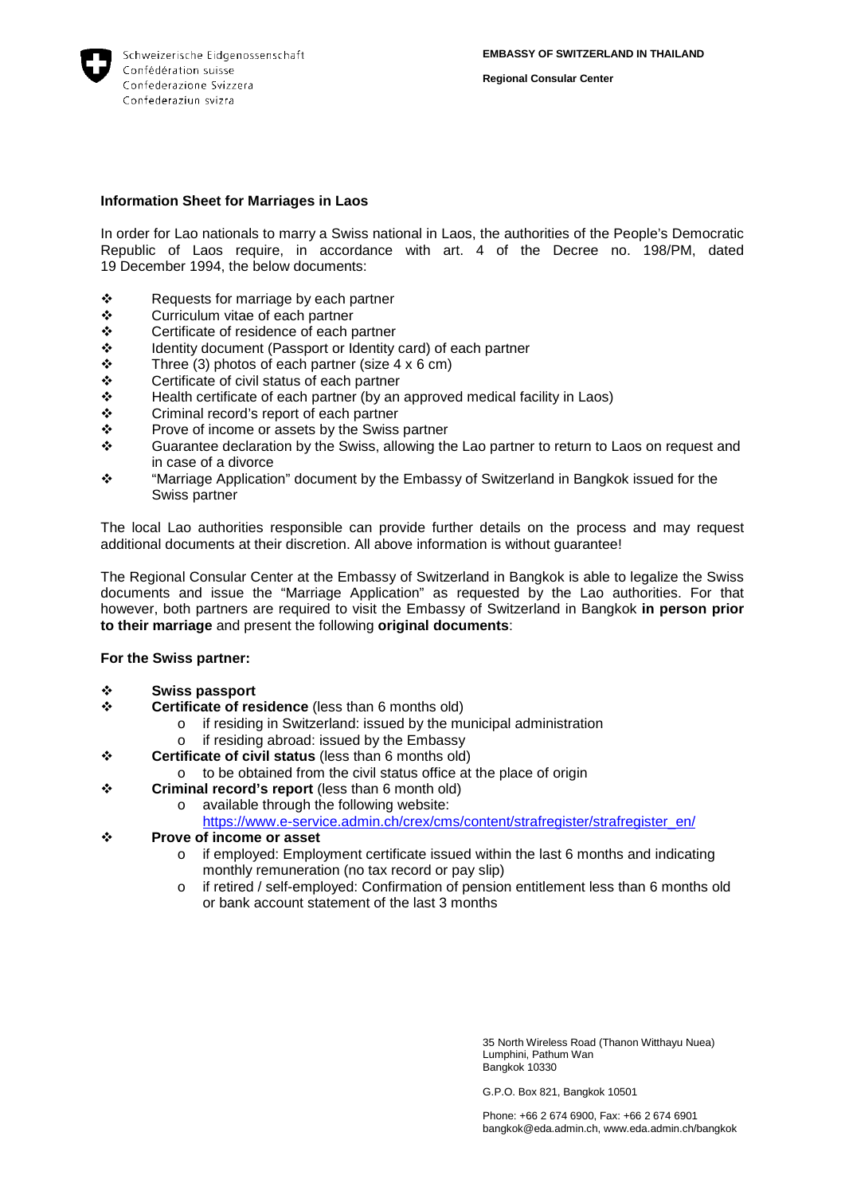

**Regional Consular Center**

## **Information Sheet for Marriages in Laos**

In order for Lao nationals to marry a Swiss national in Laos, the authorities of the People's Democratic Republic of Laos require, in accordance with art. 4 of the Decree no. 198/PM, dated 19 December 1994, the below documents:

- $\begin{array}{cc}\n\text{\textbullet} & \quad \text{Requests} \\
\text{\bullet} & \quad \text{Curricular} \\
\text{\bullet} & \quad \text{Curricular} \\
\end{array}$
- ❖ Curriculum vitae of each partner<br>❖ Certificate of residence of each r
- ❖ Certificate of residence of each partner<br>❖ Identity document (Passport or Identity
- $\div$  Identity document (Passport or Identity card) of each partner<br>  $\div$  Three (3) photos of each partner (size 4 x 6 cm)
- $\div$  Three (3) photos of each partner (size 4 x 6 cm)<br>  $\div$  Certificate of civil status of each partner
- $\div$  Certificate of civil status of each partner<br>  $\div$  Health certificate of each partner (by an
- $\div$  Health certificate of each partner (by an approved medical facility in Laos)<br>
Criminal record's report of each partner
- ❖ Criminal record's report of each partner <br>❖ Prove of income or assets by the Swiss
- ❖ Prove of income or assets by the Swiss partner<br>❖ Guarantee declaration by the Swiss, allowing the
- Guarantee declaration by the Swiss, allowing the Lao partner to return to Laos on request and in case of a divorce
- $\cdot \cdot$  "Marriage Application" document by the Embassy of Switzerland in Bangkok issued for the Swiss partner

The local Lao authorities responsible can provide further details on the process and may request additional documents at their discretion. All above information is without guarantee!

The Regional Consular Center at the Embassy of Switzerland in Bangkok is able to legalize the Swiss documents and issue the "Marriage Application" as requested by the Lao authorities. For that however, both partners are required to visit the Embassy of Switzerland in Bangkok **in person prior to their marriage** and present the following **original documents**:

## **For the Swiss partner:**

- **Swiss passport**<br> **S** Certificate of res
- **Certificate of residence** (less than 6 months old)
	- o if residing in Switzerland: issued by the municipal administration  $\circ$  if residing abroad: issued by the Embassy
	- if residing abroad: issued by the Embassy
- **Certificate of civil status** (less than 6 months old)
	- o to be obtained from the civil status office at the place of origin
- **Criminal record's report** (less than 6 month old)
	- o available through the following website:
		- [https://www.e-service.admin.ch/crex/cms/content/strafregister/strafregister\\_en/](https://www.e-service.admin.ch/crex/cms/content/strafregister/strafregister_en/)
- **Prove of income or asset** 
	- $\circ$  if employed: Employment certificate issued within the last 6 months and indicating monthly remuneration (no tax record or pay slip)
	- o if retired / self-employed: Confirmation of pension entitlement less than 6 months old or bank account statement of the last 3 months

35 North Wireless Road (Thanon Witthayu Nuea) Lumphini, Pathum Wan Bangkok 10330

G.P.O. Box 821, Bangkok 10501

Phone: +66 2 674 6900, Fax: +66 2 674 6901 bangkok@eda.admin.ch, www.eda.admin.ch/bangkok